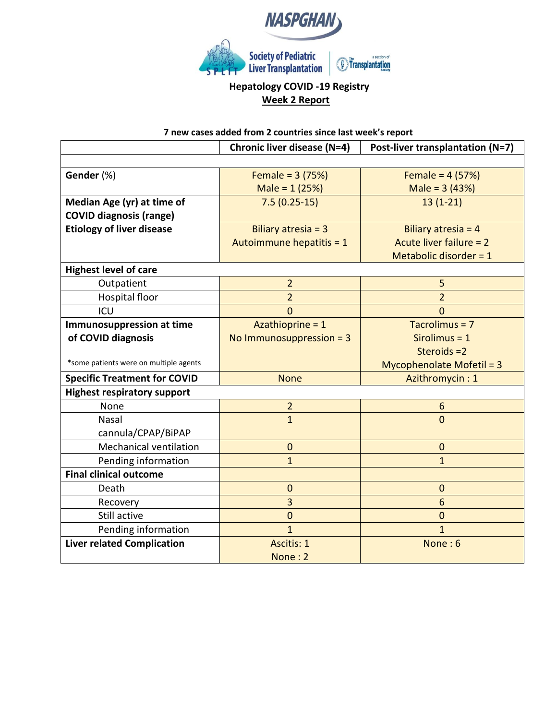

## **Hepatology COVID -19 Registry Week 2 Report**

**7 new cases added from 2 countries since last week's report**

|                                        | Chronic liver disease (N=4) | Post-liver transplantation (N=7) |
|----------------------------------------|-----------------------------|----------------------------------|
|                                        |                             |                                  |
| Gender (%)                             | Female = $3(75%)$           | Female = $4(57%)$                |
|                                        | Male = $1(25%)$             | Male = $3(43%)$                  |
| Median Age (yr) at time of             | $7.5(0.25-15)$              | $13(1-21)$                       |
| <b>COVID diagnosis (range)</b>         |                             |                                  |
| <b>Etiology of liver disease</b>       | Biliary atresia = $3$       | Biliary atresia = $4$            |
|                                        | Autoimmune hepatitis = 1    | Acute liver failure = 2          |
|                                        |                             | Metabolic disorder = $1$         |
| <b>Highest level of care</b>           |                             |                                  |
| Outpatient                             | $\overline{2}$              | 5                                |
| <b>Hospital floor</b>                  | $\overline{2}$              | $\overline{2}$                   |
| ICU                                    | $\overline{0}$              | $\overline{0}$                   |
| <b>Immunosuppression at time</b>       | Azathioprine = 1            | Tacrolimus = 7                   |
| of COVID diagnosis                     | No Immunosuppression = $3$  | Sirolimus = $1$                  |
|                                        |                             | Steroids = 2                     |
| *some patients were on multiple agents |                             | Mycophenolate Mofetil = 3        |
| <b>Specific Treatment for COVID</b>    | <b>None</b>                 | Azithromycin: 1                  |
| <b>Highest respiratory support</b>     |                             |                                  |
| None                                   | $\overline{2}$              | $6\phantom{1}$                   |
| Nasal                                  | $\overline{1}$              | $\overline{0}$                   |
| cannula/CPAP/BiPAP                     |                             |                                  |
| <b>Mechanical ventilation</b>          | $\pmb{0}$                   | $\mathbf{0}$                     |
| Pending information                    | $\mathbf{1}$                | $\mathbf{1}$                     |
| <b>Final clinical outcome</b>          |                             |                                  |
| Death                                  | $\mathbf 0$                 | $\mathbf{0}$                     |
| Recovery                               | $\overline{3}$              | 6                                |
| Still active                           | $\mathbf 0$                 | $\mathbf 0$                      |
| Pending information                    | $\overline{1}$              | $\overline{1}$                   |
| <b>Liver related Complication</b>      | <b>Ascitis: 1</b>           | None: 6                          |
|                                        | None: 2                     |                                  |